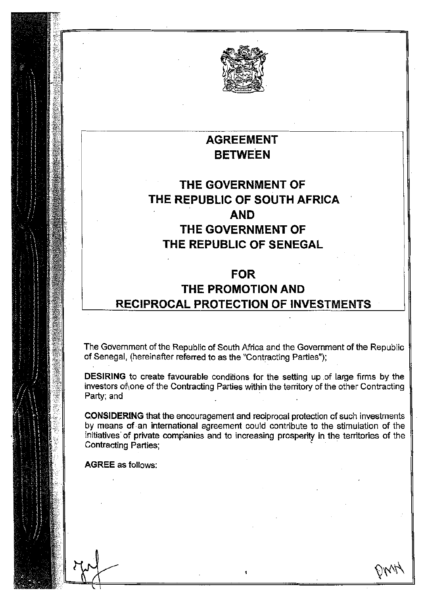

## AGREEMENT **BETWEEN**

# THE GOVERNMENT OF THE REPUBLIC OF SOUTH AFRICA AND THE GOVERNMENT OF THE REPUBLIC OF SENEGAL

## FOR THE PROMOTION AND RECIPROCAL PROTECTION OF INVESTMENTS

The Government of the Republic of South Africa and the Government of the Republic of Senegal, (hereinafter referred to as the "Contracting Parties");

DESIRING to create favourable conditions for the setting up of large firms by the investors of one of the Contracting Parties within the territory of the other Contracting Party; and

CONSIDERING that the encouragement and reciprocal protection of such investments by means of an international agreement could contribute to the stimulation of the initiatives of private companies and to increasing prosperity in the territories of the Contracting Parties;

AGREE as follows: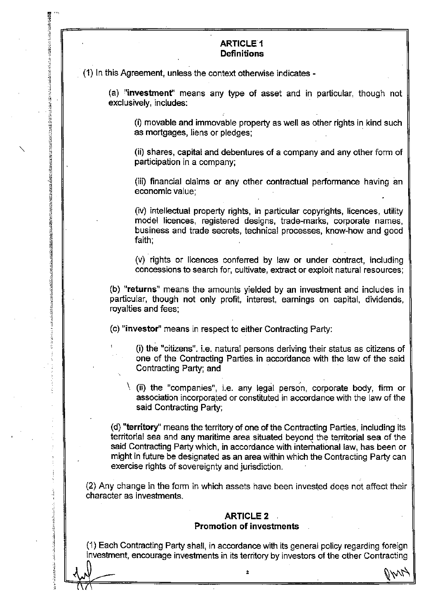## **ARTICLE 1 Definitions**

(1) In this Agreement, unless the context otherwise indicates -

(a) !'investment" means any type of asset and in particular, though not exclusively, includes:

(i) movable and immovable property as well as other rights in kind such as mortgages, liens or pledges;

(ii) shares, capital and debentures of a company and any other form of participation in a company;

(iii) financial claims or any other contractual performance having an economic value;

(iv) intellectual property rights, in particular copyrights, licences, utility model licences, registered designs, trade-marks, corporate names, business and trade secrets, technical processes, know-how and good faith;

(v) rights or licences conferred by law or under contract, including concessions to search for, cultivate, extract or exploit natural resources;

(b) "returns" means the amounts yielded by an investment and includes in particular, though not only profit, interest, earnings on capital, dividends, royalties and fees;

(c) "investor" means in respect to either Contracting Party:

(i) the "citizens". i.e. natural persons deriving their status as citizens of one of the Contracting Parties. in accordance with the law of the said Contracting Party; and

 $\setminus$  (ii) the "companies", i.e. any legal person, corporate body, firm or association lncorporated or constituted in accordance with the law of the said Contracting Party;

(d) "territory" means the territory of one of the Contracting Parties, including its territorial sea and any maritime area situated beyond the territorial sea of the said Contracting Party which, in accordance with international law, has been or might in future be designated as an area within which the Contracting Party can exercise rights of sovereignty and jurisdiction.

(2) Any change in the form in which assets have been invested does not affect their character as investments.

#### ARTICLE 2 . Promotion of investments

(1) Each Contracting Party shall, in accordance with its general policy regarding foreign investment, encourage investments in its territory by investors of the other Contracting

 $\mathcal{L}$  . At  $\mathcal{L}$  , and  $\mathcal{L}$  . The set of  $\mathcal{L}$ 

 $\alpha$ 

:·. "· '<br>:

(中国の)の のうけん

 $\label{thm:R2}$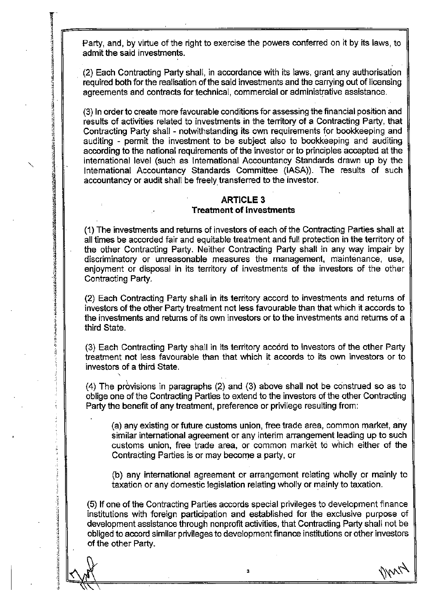.Party, and, by virtue of the right to exercise the powers conferred on it by its laws, to admit the said investments.

(2) Each Contracting Party shall, in accordance with its laws, grant any authorisation required both for the realisation of the said investments and the carrying out of licensing agreements and contracts for technical, commercial or administrative assistance.

(3) In order to create more favourable conditions for assessing the financial position and results of activities related to investments in the territory of a Contracting Party, that Contracting Party shall - notwithstanding its own requirements for bookkeeping and auditing - permit the investment to be subject also to bookkeeping and auditing according to the national requirements of the investor or to principles accepted at the international level (such as International Accountancy Standards drawn up by the International Accountancy Standards Committee (IASA)). The results of such accountancy or audit shall be freely transferred to the investor.

## ARTICLE 3 Treatment of Investments

(1) The investments and returns of investors of each of the Contracting Parties shall at all times be accorded fair and equitable treatment and full protection in the territory of the other Contracting Party. Neither Contracting Party shall in any way impair by discriminatory or unreasonable measures the management, maintenance, use, enjoyment or disposal in its territory of investments of the investors of the other Contracting Party.

(2) Each Contracting Party shall in its territory accord to investments and returns of investors of the other Party treatment not less favourable than that which it accords to the investments and returns of its own investors or to the investments and returns of a third State.

(3) Each Contracting Party shall in its territory accord to investors of the other Party treatment not less favourable than that which it accords to its own investors or to investors of a third State.

..

 $\checkmark$ 

反映区28的以前28%以及24.448的28%以及28%以降的28%的28%的38%以下的38%以下38%以下28%以下28%以下38%以下38%以下48%以下48%以下38%以下3.45%以下3.4

**CANCING CANCER** 

 $(4)$  The provisions in paragraphs  $(2)$  and  $(3)$  above shall not be construed so as to oblige one of the Contracting Parties to extend to the investors of the other Contracting Party the benefit of any treatment, preference or privilege resulting from:

(a) any existing or future customs union, free trade area, common market, any similar international agreement or any interim arrangement leading up to such customs union, free trade area, or common market to which either of the Contracting Parties is or may become a party, or

(b) any international agreement or arrangement relating wholly or mainly to taxation or any domestic legislation relating wholly or mainly to taxation.

(5) If one of the Contracting Parties accords special privileges to development finance institutions with foreign participation and established for the exclusive purpose of development assistance through nonprofit activities, that Contracting Party shall not be obliged to accord similar privileges to development finance institutions or other investors of the other Party.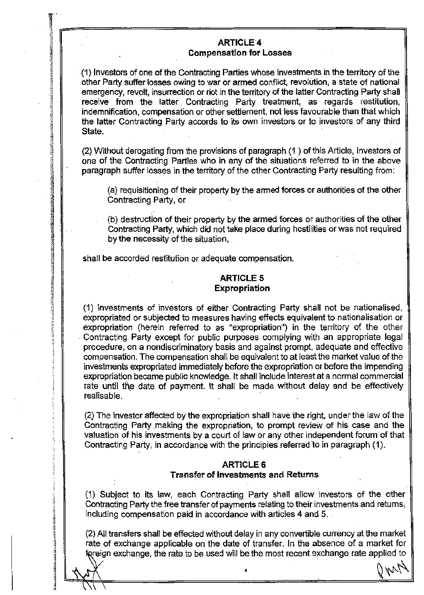## ARTICLE'4 **Compensation for Losses**

''.~ ================================ ;~·,

· (1) Investors of one of the Contracting Parties whose investments in the territory of the other Party suffer losses owing to war or armed conflict, revolution, a state of national emergency, revolt, insurrection or riot in the territory of the latter Contracting Party shall receive from the latter Contracting Party treatment, as regards restitution, indemnification, compensation or other settlement, not less favourable than that which the latter Contracting Party accords to its own investors or to investors of any third State.

(2) Without derogating from the provisions of paragraph (1 ) of this Article, investors of one of the Contracting Parties who in any of the situations referred to in the above paragraph suffer losses in the territory of the other Contracting Party resulting from:

(a) requisitioning of their property by the armed forces or authorities of the other Contracting Party, or

(b) destruction of their property by the armed forces or authorities of the other Contracting Party, which did not take place during hostilities or was not required by the necessity of the situation, .

shall be accorded restitution or adequate compensation.

 $\overline{\text{NT}}$ 

*?.* 

 $\frac{1}{4}$ 

*!~* 

*~ ~*  ·~~1 ill ~;  $\ddot{\ddot{\textbf{z}}}$ -~

 $\frac{3}{2}$   $\parallel$  $\mathcal{L}$ ~ il "1  $^{\circ\circ}$ 

**in 1999**<br>The Control of The Control of The Control of The Control of The Control of The Control of The Control of The Co<br>The Control of The Control of The Control of The Control of The Control of The Control of The Contro

india.<br>I

 $\mathbb{R}^2$ 

## **ARTICLE 5** Expropriation

(1} Investments of investors of either· Contracting Party shall not be nationalised, expropriated or subjected to measures having effects equivalent to nationalisation or expropriation (herein referred to as "expropriation") in the territory of the other . Contracting Party except for public purposes complying with an appropriate legal procedure, on a nondiscriminatory basis and against prompt, adequate and effective compensation. The compensation shall be equivalent to at least the market value of the investments expropriated immediately before the expropriation or before the impending expropriation became public knowledge. It shall include interest at a normal commercial rate until the date of payment. It shall be made without delay and be effectively realisable.

(2) The investor affected by the expropriation shall have the right, under the law of the Contracting Party making the expropriation, to prompt review of his case and the valuation of his investments by a court of law or any other independent forum of that Contracting Party, in accordance with the principles referred to in paragraph (1).

#### ARTICLE 6 Transfer of Investments and Returns

(1) Subject to its law, each Contracting Party shall allow lnvestors of the other Contracting Party the free transfer of payments relating to their investments and returns, including compensation paid in accordance with articles 4 and 5.

(2) All transfers shall be effected without delay in any convertible currency at the market rate of exchange applicable on the date of transfer. In the absence of a market for foreign exchange, the rate to be used will be the most recent exchange rate applied to  $M_{\nu}$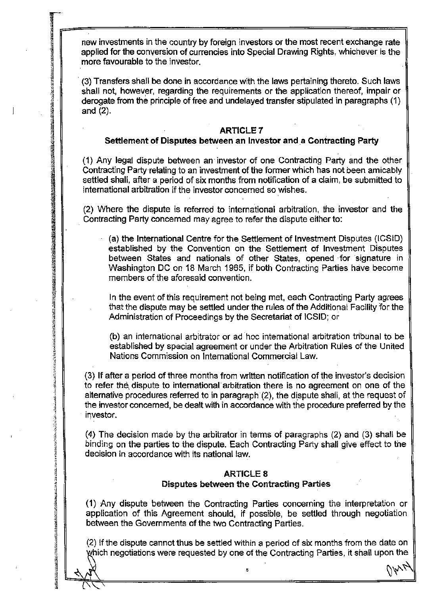new investments in the country by foreign investors or the most recent exchange rate applied for the conversion of currencies into Special Drawing Rights, whichever is the more favourable to the investor.

r~===============~ ···

 $\mathfrak{A}$ 

19<br>20 ·~

 $\frac{37}{3}$ 

rang<br>Kabupatèn<br>Kabupatèn

1990年,1990年,1991年,1992年,1992年,1992年,1992年,1992年,1992年,1992年,1992年,1992年,1992年,1992年,1992年,1992年,1992<br>1992年,1992年,1992年,1992年,1992年,1992年,1992年,1992年,1992年,1992年,1992年,1992年,1992年,199

· (3) Transfers shall be done in accordance with the laws pertaining thereto. Such laws shall not, however, regarding the requirements or the application thereof, impair or derogate from the principle of free and undelayed transfer stipulated in paragraphs ( 1) and (2).

#### ARTICLE 7

#### Settlement of Disputes between an Investor and a Contracting Party

( 1) Any legal dispute between an· investor of one Contracting Party and the other Contracting Party·relating to an investment of the former which has not been amicably settled shall, after a period of six months from notification of a claim, be submitted to international arbitration if the investor concerned so wishes.

(2) Where the dispute is referred to international arbitration, the investor and the Contracting Party concerned may agree to refer the dispute either to:

(a) the International Centre for the. Settlement of Investment Disputes (ICSID) established by the Convention on the Settlement of Investment Disputes between States and nationals of other States, opened for signature in Washington DC on 18 March 1965, if both Contracting Parties have become members of the aforesaid convention.

In the event of this requirement not being met, each Contracting Party agrees that the dispute may be settled under the rules of the Additional Facility for the Administration of Proceedings by the Secretariat of ICSID; or

(b) an international arbitrator or ad hoc international arbitration tribunal to be established by special agreement or under the Arbitration Rules of the United Nations Commission on International Commercial Law.

(3) If after a period of three months from written notification of the investor's decision to refer the, dispute to international arbitration there is no agreement on one of the alternative procedures referred to in paragraph (2), the dispute shall, at the request of the investor concerned, be dealt with in accordance with the procedure preferred by the investor.

(4) The decision made by the arbitrator in terms of paragraphs (2) and (3) shall be binding on the parties to the dispute. Each Contracting Party shall give effect to the decision in accordance with its national law.

## . ARTICLE 8

#### Disputes between the Contracting Parties

( 1) Any dispute between the Contracting Parties concerning the interpretation or application of this Agreement should, if possible, be settled through negotiation between the Governments of the two Contracting Parties.

(2) If the dispute cannot thus be settled within a period of six months from the date on which negotiations were requested by one of the Contracting Parties, it shall upon the

 $\sim$  s'  $\sim$  s'  $\sim$  s'  $\sim$  s'  $\sim$  s'  $\sim$  s'  $\sim$  s'  $\sim$  s'  $\sim$  s'  $\sim$  s'  $\sim$  s'  $\sim$  s'  $\sim$  s'  $\sim$  s'  $\sim$  s'  $\sim$  s'  $\sim$  s'  $\sim$  s'  $\sim$  s'  $\sim$  s'  $\sim$  s'  $\sim$  s'  $\sim$  s'  $\sim$  s'  $\sim$  s'  $\sim$  s'  $\sim$  s'  $\sim$ 

 $\Delta \Delta \sim$ 

医生态医疗法的医疗法治疗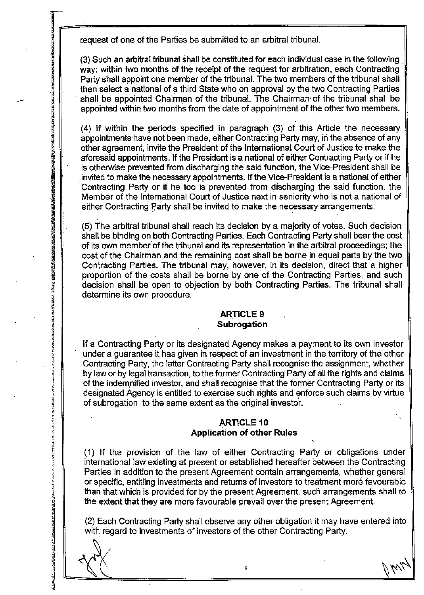request of one of the Parties be submitted to an arbitral tribunal.

. j

त्रे *:;*  -~  $\ddot{x}$ j

l ")

 $\frac{1}{2}$ 

~

88. I

1999<br>|-<br>|-

(3) Such an arbitral tribunat shall be constituted for each individual case in the following . .way: within two months of the receipt of the request for arbitration, each Contracting Party shall appoint one member of the tribunal. The two members of the tribunal shall then select a national of a third State who on approval by the two Contracting Parties shall be appointed Chairman of the tribunal. The Chairman of the tribunal shall be appointed within two months from the date of appointment of the other two members.

> (4) If within the periods specified in paragraph (3) of this Article the necessary appointments-have not been made, either Contracting Party may, in the absence of any other agreement, invite the President of the International Court of Justice to make the aforesaid appointments. If the President is a national of either Contracting Party or if he is otherwise prevented from discharging the said function, the Vice-President shall be invited to make the necessary appointments. If the Vice-President is a national of either Contracting Party or if he too is prevented from discharging the said function. the Member of the International Court of Justice next in seniority who is not a national of either Contracting Party shall be invited to make the necessary arrangements.

> (5) The arbitral tribunal shall reach its decision by a majority of votes. Such decision shall be binding on both Contracting Parties. Each Contracting Party shall bear the cost of its own mernber'of the tribunal and its representation in the arbitral proceedings; the cost of the Chairman and the remaining cost shall be borne in equal parts by the two Contracting Parties. The tribunal may, however, in its decision, direct that a higher proportion of the costs shall be borne by one of the Contracting Parties, and such decision shall be open to objection by both Contracting Parties. The tribunal shall determine its own procedure.

### Subrogation ARTICLE 9

If a Contracting Party or its designated Agency makes a payment to its own investor under a guarantee it has given in respect of an investment in the territory of the other Contracting Party, the latter Contracting Party shall recognise the assignment, whether by law or by legal transaction, to the former Contracting Party of all the rights and claims of the indempified investor, and shall recognise that the former Contracting Party or its designated Agency is entitled to exercise such rights and enforce such claims by virtue of subrogation, to the same extent as the original investor.

## ARTICLE 10 Application of other Rules

~ ( 1) If the provision of the law of either Contracting Party or obligations under international law existing at present or established hereafter between the Contracting Parties in addition to the present Agreement contain arrangements, whether general or specific, entitling investments and returns of investors to treatment more favourable than that which is provided for by the present Agreement, such arrangements shall to the extent that they are more favourable prevail over the present Agreement.

. (2) Each Contracting Party shall observe any other obligation it may have entered into with regard to investments of investors of the other Contracting Party. in 1997

6